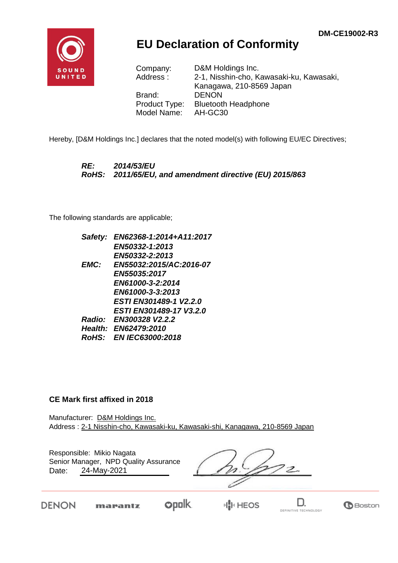

## **EU Declaration of Conformity**

Company: D&M Holdings Inc. Address : 2-1, Nisshin-cho, Kawasaki-ku, Kawasaki, Kanagawa, 210-8569 Japan Brand: DENON Product Type: Bluetooth Headphone Model Name: AH-GC30

Hereby, [D&M Holdings Inc.] declares that the noted model(s) with following EU/EC Directives;

*RE: 2014/53/EU RoHS: 2011/65/EU, and amendment directive (EU) 2015/863*

The following standards are applicable;

| Safety:      | EN62368-1:2014+A11:2017        |
|--------------|--------------------------------|
|              | EN50332-1:2013                 |
|              | EN50332-2:2013                 |
| EMC:         | EN55032:2015/AC:2016-07        |
|              | <b>EN55035:2017</b>            |
|              | EN61000-3-2:2014               |
|              | EN61000-3-3:2013               |
|              | <b>ESTI EN301489-1 V2.2.0</b>  |
|              | <b>ESTI EN301489-17 V3.2.0</b> |
|              | Radio: EN300328 V2.2.2         |
|              | Health: EN62479:2010           |
| <b>RoHS:</b> | <b>EN IEC63000:2018</b>        |

## **CE Mark first affixed in 2018**

Manufacturer: D&M Holdings Inc. Address : 2-1 Nisshin-cho, Kawasaki-ku, Kawasaki-shi, Kanagawa, 210-8569 Japan

Responsible: Mikio Nagata Date: 24-May-2021 Senior Manager, NPD Quality Assurance

'2.

DENON

**opolk** marantz



D.

**G**Boston